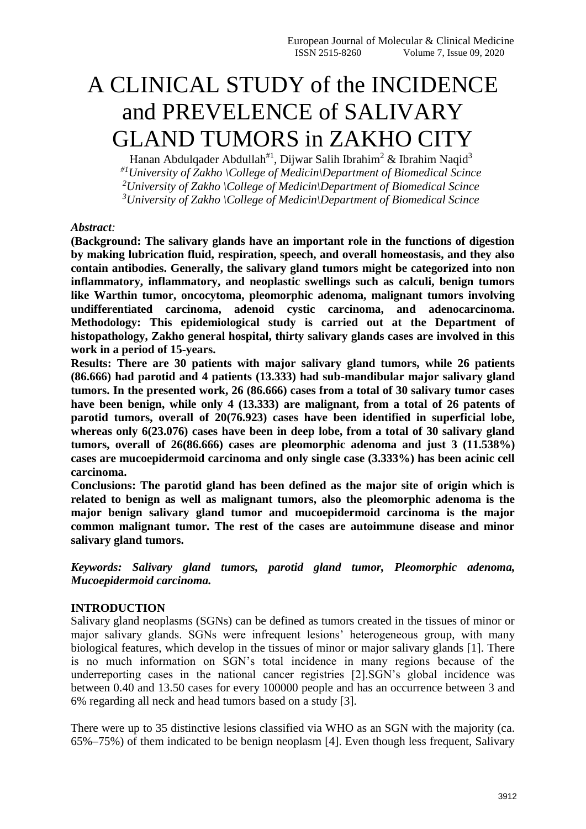# A CLINICAL STUDY of the INCIDENCE and PREVELENCE of SALIVARY GLAND TUMORS in ZAKHO CITY

Hanan Abdulqader Abdullah<sup>#1</sup>, Dijwar Salih Ibrahim<sup>2</sup> & Ibrahim Naqid<sup>3</sup> *#1University of Zakho \College of Medicin\Department of Biomedical Scince <sup>2</sup>University of Zakho \College of Medicin\Department of Biomedical Scince <sup>3</sup>University of Zakho \College of Medicin\Department of Biomedical Scince*

### *Abstract:*

**(Background: The salivary glands have an important role in the functions of digestion by making lubrication fluid, respiration, speech, and overall homeostasis, and they also contain antibodies. Generally, the salivary gland tumors might be categorized into non inflammatory, inflammatory, and neoplastic swellings such as calculi, benign tumors like Warthin tumor, oncocytoma, pleomorphic adenoma, malignant tumors involving undifferentiated carcinoma, adenoid cystic carcinoma, and adenocarcinoma. Methodology: This epidemiological study is carried out at the Department of histopathology, Zakho general hospital, thirty salivary glands cases are involved in this work in a period of 15-years.** 

**Results: There are 30 patients with major salivary gland tumors, while 26 patients (86.666) had parotid and 4 patients (13.333) had sub-mandibular major salivary gland tumors. In the presented work, 26 (86.666) cases from a total of 30 salivary tumor cases have been benign, while only 4 (13.333) are malignant, from a total of 26 patents of parotid tumors, overall of 20(76.923) cases have been identified in superficial lobe, whereas only 6(23.076) cases have been in deep lobe, from a total of 30 salivary gland tumors, overall of 26(86.666) cases are pleomorphic adenoma and just 3 (11.538%) cases are mucoepidermoid carcinoma and only single case (3.333%) has been acinic cell carcinoma.** 

**Conclusions: The parotid gland has been defined as the major site of origin which is related to benign as well as malignant tumors, also the pleomorphic adenoma is the major benign salivary gland tumor and mucoepidermoid carcinoma is the major common malignant tumor. The rest of the cases are autoimmune disease and minor salivary gland tumors.**

*Keywords: Salivary gland tumors, parotid gland tumor, Pleomorphic adenoma, Mucoepidermoid carcinoma.*

## **INTRODUCTION**

Salivary gland neoplasms (SGNs) can be defined as tumors created in the tissues of minor or major salivary glands. SGNs were infrequent lesions' heterogeneous group, with many biological features, which develop in the tissues of minor or major salivary glands [1]. There is no much information on SGN's total incidence in many regions because of the underreporting cases in the national cancer registries [2].SGN's global incidence was between 0.40 and 13.50 cases for every 100000 people and has an occurrence between 3 and 6% regarding all neck and head tumors based on a study [3].

There were up to 35 distinctive lesions classified via WHO as an SGN with the majority (ca. 65%–75%) of them indicated to be benign neoplasm [4]. Even though less frequent, Salivary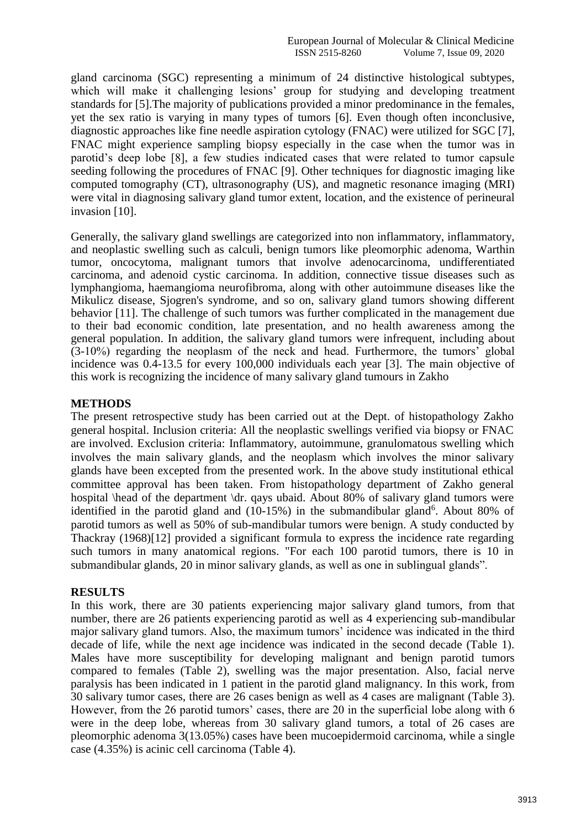gland carcinoma (SGC) representing a minimum of 24 distinctive histological subtypes, which will make it challenging lesions' group for studying and developing treatment standards for [5].The majority of publications provided a minor predominance in the females, yet the sex ratio is varying in many types of tumors [6]. Even though often inconclusive, diagnostic approaches like fine needle aspiration cytology (FNAC) were utilized for SGC [7], FNAC might experience sampling biopsy especially in the case when the tumor was in parotid's deep lobe [8], a few studies indicated cases that were related to tumor capsule seeding following the procedures of FNAC [9]. Other techniques for diagnostic imaging like computed tomography (CT), ultrasonography (US), and magnetic resonance imaging (MRI) were vital in diagnosing salivary gland tumor extent, location, and the existence of perineural invasion [10].

Generally, the salivary gland swellings are categorized into non inflammatory, inflammatory, and neoplastic swelling such as calculi, benign tumors like pleomorphic adenoma, Warthin tumor, oncocytoma, malignant tumors that involve adenocarcinoma, undifferentiated carcinoma, and adenoid cystic carcinoma. In addition, connective tissue diseases such as lymphangioma, haemangioma neurofibroma, along with other autoimmune diseases like the Mikulicz disease, Sjogren's syndrome, and so on, salivary gland tumors showing different behavior [11]. The challenge of such tumors was further complicated in the management due to their bad economic condition, late presentation, and no health awareness among the general population. In addition, the salivary gland tumors were infrequent, including about (3-10%) regarding the neoplasm of the neck and head. Furthermore, the tumors' global incidence was 0.4-13.5 for every 100,000 individuals each year [3]. The main objective of this work is recognizing the incidence of many salivary gland tumours in Zakho

### **METHODS**

The present retrospective study has been carried out at the Dept. of histopathology Zakho general hospital. Inclusion criteria: All the neoplastic swellings verified via biopsy or FNAC are involved. Exclusion criteria: Inflammatory, autoimmune, granulomatous swelling which involves the main salivary glands, and the neoplasm which involves the minor salivary glands have been excepted from the presented work. In the above study institutional ethical committee approval has been taken. From histopathology department of Zakho general hospital \head of the department \dr. qays ubaid. About 80% of salivary gland tumors were identified in the parotid gland and (10-15%) in the submandibular gland<sup>6</sup>. About 80% of parotid tumors as well as 50% of sub-mandibular tumors were benign. A study conducted by Thackray (1968)[12] provided a significant formula to express the incidence rate regarding such tumors in many anatomical regions. "For each 100 parotid tumors, there is 10 in submandibular glands, 20 in minor salivary glands, as well as one in sublingual glands".

### **RESULTS**

In this work, there are 30 patients experiencing major salivary gland tumors, from that number, there are 26 patients experiencing parotid as well as 4 experiencing sub-mandibular major salivary gland tumors. Also, the maximum tumors' incidence was indicated in the third decade of life, while the next age incidence was indicated in the second decade (Table 1). Males have more susceptibility for developing malignant and benign parotid tumors compared to females (Table 2), swelling was the major presentation. Also, facial nerve paralysis has been indicated in 1 patient in the parotid gland malignancy. In this work, from 30 salivary tumor cases, there are 26 cases benign as well as 4 cases are malignant (Table 3). However, from the 26 parotid tumors' cases, there are 20 in the superficial lobe along with 6 were in the deep lobe, whereas from 30 salivary gland tumors, a total of 26 cases are pleomorphic adenoma 3(13.05%) cases have been mucoepidermoid carcinoma, while a single case (4.35%) is acinic cell carcinoma (Table 4).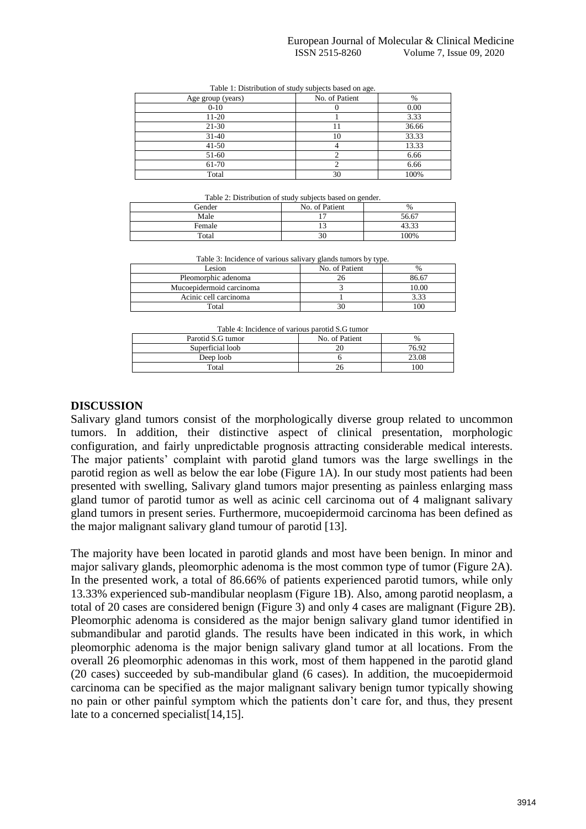| Age group (years) | No. of Patient | %     |
|-------------------|----------------|-------|
| $0 - 10$          |                | 0.00  |
| $11 - 20$         |                | 3.33  |
| $21 - 30$         |                | 36.66 |
| $31 - 40$         | 10             | 33.33 |
| $41 - 50$         |                | 13.33 |
| 51-60             |                | 6.66  |
| 61-70             |                | 6.66  |
| Total             | 30             | 100%  |

Table 1: Distribution of study subjects based on age.

Table 2: Distribution of study subjects based on gender.

| Table 2. Distribution of study subjects based on genuer. |                |       |  |
|----------------------------------------------------------|----------------|-------|--|
| Gender                                                   | No. of Patient | $\%$  |  |
| Male                                                     |                | 56.67 |  |
| Female                                                   |                | 43.33 |  |
| Total                                                    |                | 100%  |  |

Table 3: Incidence of various salivary glands tumors by type.

| Lesion                   | No. of Patient | $\%$  |
|--------------------------|----------------|-------|
| Pleomorphic adenoma      |                | 86.67 |
| Mucoepidermoid carcinoma |                | 10.00 |
| Acinic cell carcinoma    |                | 3.33  |
| Total                    |                | 100   |

|  | Table 4: Incidence of various parotid S.G tumor |  |
|--|-------------------------------------------------|--|
|  |                                                 |  |

| TWO TO THE COUNTY OF TWILD MY DWID MAN DIG TWILLOT |                |       |  |  |
|----------------------------------------------------|----------------|-------|--|--|
| Parotid S.G tumor                                  | No. of Patient | %     |  |  |
| Superficial loob                                   |                | 76.92 |  |  |
| Deep loob                                          |                | 23.08 |  |  |
| Total                                              |                | 00    |  |  |
|                                                    |                |       |  |  |

#### **DISCUSSION**

Salivary gland tumors consist of the morphologically diverse group related to uncommon tumors. In addition, their distinctive aspect of clinical presentation, morphologic configuration, and fairly unpredictable prognosis attracting considerable medical interests. The major patients' complaint with parotid gland tumors was the large swellings in the parotid region as well as below the ear lobe (Figure 1A). In our study most patients had been presented with swelling, Salivary gland tumors major presenting as painless enlarging mass gland tumor of parotid tumor as well as acinic cell carcinoma out of 4 malignant salivary gland tumors in present series. Furthermore, mucoepidermoid carcinoma has been defined as the major malignant salivary gland tumour of parotid [13].

The majority have been located in parotid glands and most have been benign. In minor and major salivary glands, pleomorphic adenoma is the most common type of tumor (Figure 2A). In the presented work, a total of 86.66% of patients experienced parotid tumors, while only 13.33% experienced sub-mandibular neoplasm (Figure 1B). Also, among parotid neoplasm, a total of 20 cases are considered benign (Figure 3) and only 4 cases are malignant (Figure 2B). Pleomorphic adenoma is considered as the major benign salivary gland tumor identified in submandibular and parotid glands. The results have been indicated in this work, in which pleomorphic adenoma is the major benign salivary gland tumor at all locations. From the overall 26 pleomorphic adenomas in this work, most of them happened in the parotid gland (20 cases) succeeded by sub-mandibular gland (6 cases). In addition, the mucoepidermoid carcinoma can be specified as the major malignant salivary benign tumor typically showing no pain or other painful symptom which the patients don't care for, and thus, they present late to a concerned specialist[14,15].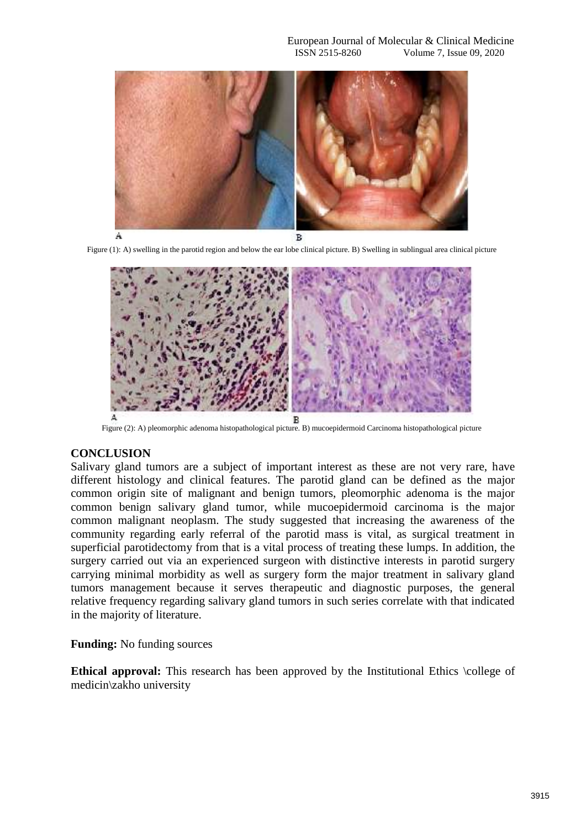

Figure (1): A) swelling in the parotid region and below the ear lobe clinical picture. B) Swelling in sublingual area clinical picture



Figure (2): A) pleomorphic adenoma histopathological picture. B) mucoepidermoid Carcinoma histopathological picture

#### **CONCLUSION**

Salivary gland tumors are a subject of important interest as these are not very rare, have different histology and clinical features. The parotid gland can be defined as the major common origin site of malignant and benign tumors, pleomorphic adenoma is the major common benign salivary gland tumor, while mucoepidermoid carcinoma is the major common malignant neoplasm. The study suggested that increasing the awareness of the community regarding early referral of the parotid mass is vital, as surgical treatment in superficial parotidectomy from that is a vital process of treating these lumps. In addition, the surgery carried out via an experienced surgeon with distinctive interests in parotid surgery carrying minimal morbidity as well as surgery form the major treatment in salivary gland tumors management because it serves therapeutic and diagnostic purposes, the general relative frequency regarding salivary gland tumors in such series correlate with that indicated in the majority of literature.

### **Funding:** No funding sources

**Ethical approval:** This research has been approved by the Institutional Ethics \college of medicin\zakho university